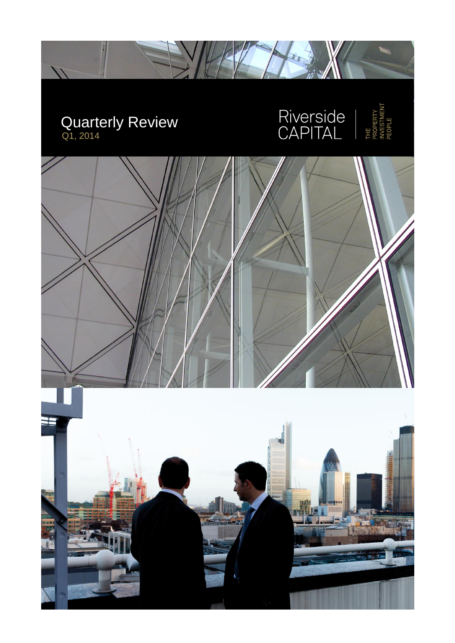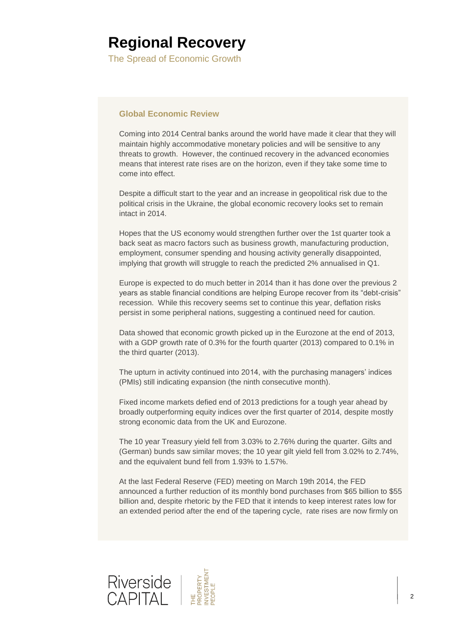The Spread of Economic Growth

### **Global Economic Review**

Coming into 2014 Central banks around the world have made it clear that they will maintain highly accommodative monetary policies and will be sensitive to any threats to growth. However, the continued recovery in the advanced economies means that interest rate rises are on the horizon, even if they take some time to come into effect.

Despite a difficult start to the year and an increase in geopolitical risk due to the political crisis in the Ukraine, the global economic recovery looks set to remain intact in 2014.

Hopes that the US economy would strengthen further over the 1st quarter took a back seat as macro factors such as business growth, manufacturing production, employment, consumer spending and housing activity generally disappointed, implying that growth will struggle to reach the predicted 2% annualised in Q1.

Europe is expected to do much better in 2014 than it has done over the previous 2 years as stable financial conditions are helping Europe recover from its "debt-crisis" recession. While this recovery seems set to continue this year, deflation risks persist in some peripheral nations, suggesting a continued need for caution.

Data showed that economic growth picked up in the Eurozone at the end of 2013, with a GDP growth rate of 0.3% for the fourth quarter (2013) compared to 0.1% in the third quarter (2013).

The upturn in activity continued into 2014, with the purchasing managers' indices (PMIs) still indicating expansion (the ninth consecutive month).

Fixed income markets defied end of 2013 predictions for a tough year ahead by broadly outperforming equity indices over the first quarter of 2014, despite mostly strong economic data from the UK and Eurozone.

The 10 year Treasury yield fell from 3.03% to 2.76% during the quarter. Gilts and (German) bunds saw similar moves; the 10 year gilt yield fell from 3.02% to 2.74%, and the equivalent bund fell from 1.93% to 1.57%.

At the last Federal Reserve (FED) meeting on March 19th 2014, the FED announced a further reduction of its monthly bond purchases from \$65 billion to \$55 billion and, despite rhetoric by the FED that it intends to keep interest rates low for an extended period after the end of the tapering cycle, rate rises are now firmly on

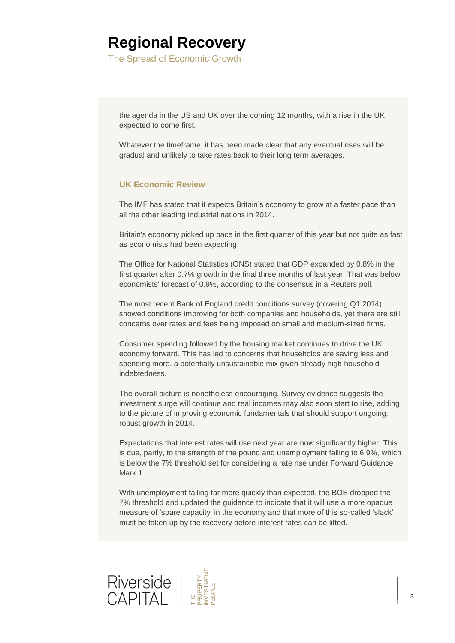The Spread of Economic Growth

the agenda in the US and UK over the coming 12 months, with a rise in the UK expected to come first.

Whatever the timeframe, it has been made clear that any eventual rises will be gradual and unlikely to take rates back to their long term averages.

### **UK Economic Review**

The IMF has stated that it expects Britain's economy to grow at a faster pace than all the other leading industrial nations in 2014.

Britain's economy picked up pace in the first quarter of this year but not quite as fast as economists had been expecting.

The Office for National Statistics (ONS) stated that GDP expanded by 0.8% in the first quarter after 0.7% growth in the final three months of last year. That was below economists' forecast of 0.9%, according to the consensus in a Reuters poll.

The most recent Bank of England credit conditions survey (covering Q1 2014) showed conditions improving for both companies and households, yet there are still concerns over rates and fees being imposed on small and medium-sized firms.

Consumer spending followed by the housing market continues to drive the UK economy forward. This has led to concerns that households are saving less and spending more, a potentially unsustainable mix given already high household indebtedness.

The overall picture is nonetheless encouraging. Survey evidence suggests the investment surge will continue and real incomes may also soon start to rise, adding to the picture of improving economic fundamentals that should support ongoing, robust growth in 2014.

Expectations that interest rates will rise next year are now significantly higher. This is due, partly, to the strength of the pound and unemployment falling to 6.9%, which is below the 7% threshold set for considering a rate rise under Forward Guidance Mark 1.

With unemployment falling far more quickly than expected, the BOE dropped the 7% threshold and updated the guidance to indicate that it will use a more opaque measure of 'spare capacity' in the economy and that more of this so-called 'slack' must be taken up by the recovery before interest rates can be lifted.

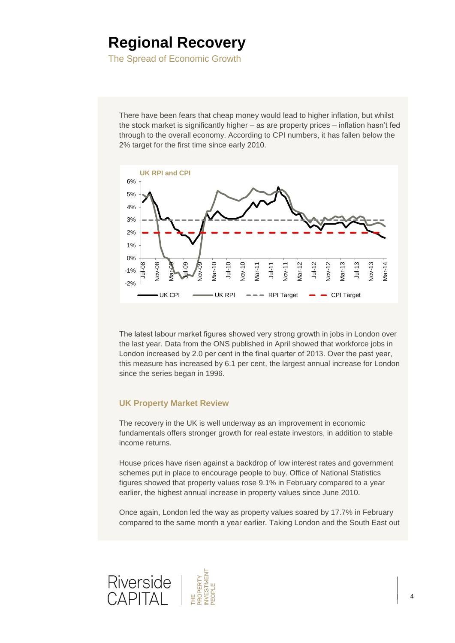The Spread of Economic Growth

There have been fears that cheap money would lead to higher inflation, but whilst the stock market is significantly higher – as are property prices – inflation hasn't fed through to the overall economy. According to CPI numbers, it has fallen below the 2% target for the first time since early 2010.



The latest labour market figures showed very strong growth in jobs in London over the last year. Data from the ONS published in April showed that workforce jobs in London increased by 2.0 per cent in the final quarter of 2013. Over the past year, this measure has increased by 6.1 per cent, the largest annual increase for London since the series began in 1996.

### **UK Property Market Review**

The recovery in the UK is well underway as an improvement in economic fundamentals offers stronger growth for real estate investors, in addition to stable income returns.

House prices have risen against a backdrop of low interest rates and government schemes put in place to encourage people to buy. Office of National Statistics figures showed that property values rose 9.1% in February compared to a year earlier, the highest annual increase in property values since June 2010.

Once again, London led the way as property values soared by 17.7% in February compared to the same month a year earlier. Taking London and the South East out

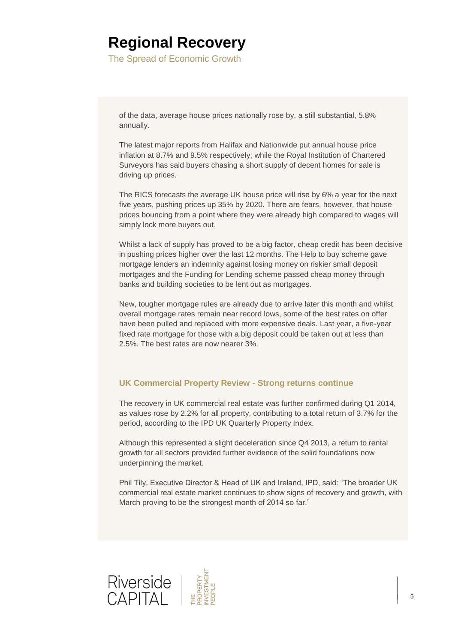The Spread of Economic Growth

of the data, average house prices nationally rose by, a still substantial, 5.8% annually.

The latest major reports from Halifax and Nationwide put annual house price inflation at 8.7% and 9.5% respectively; while the Royal Institution of Chartered Surveyors has said buyers chasing a short supply of decent homes for sale is driving up prices.

The RICS forecasts the average UK house price will rise by 6% a year for the next five years, pushing prices up 35% by 2020. There are fears, however, that house prices bouncing from a point where they were already high compared to wages will simply lock more buyers out.

Whilst a lack of supply has proved to be a big factor, cheap credit has been decisive in pushing prices higher over the last 12 months. The Help to buy scheme gave mortgage lenders an indemnity against losing money on riskier small deposit mortgages and the Funding for Lending scheme passed cheap money through banks and building societies to be lent out as mortgages.

New, tougher mortgage rules are already due to arrive later this month and whilst overall mortgage rates remain near record lows, some of the best rates on offer have been pulled and replaced with more expensive deals. Last year, a five-year fixed rate mortgage for those with a big deposit could be taken out at less than 2.5%. The best rates are now nearer 3%.

### **UK Commercial Property Review - Strong returns continue**

The recovery in UK [commercial](https://www.shawbrook.co.uk/partners/commercial-mortgage-partners/) real estate was further confirmed during Q1 2014, as values rose by 2.2% for all property, contributing to a total return of 3.7% for the period, according to the IPD UK Quarterly Property Index.

Although this represented a slight deceleration since Q4 2013, a return to rental growth for all sectors provided further evidence of the solid foundations now underpinning the market.

Phil Tily, Executive Director & Head of UK and Ireland, IPD, said: "The broader UK commercial real estate market continues to show signs of recovery and growth, with March proving to be the strongest month of 2014 so far."

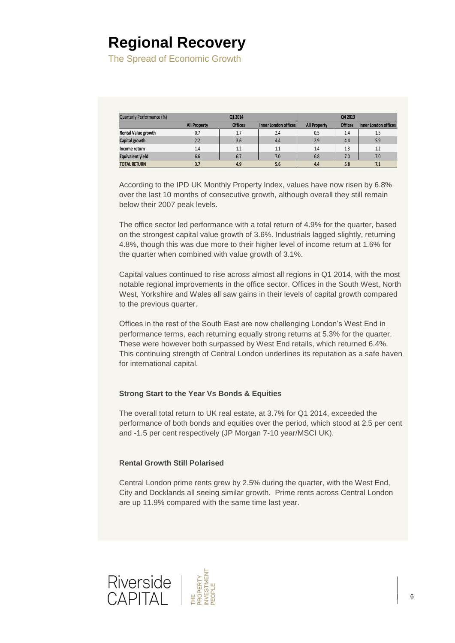The Spread of Economic Growth

| Quarterly Performance (%)  | Q1 2014             |                |                             | Q4 2013             |                |                      |
|----------------------------|---------------------|----------------|-----------------------------|---------------------|----------------|----------------------|
|                            | <b>All Property</b> | <b>Offices</b> | <b>Inner London offices</b> | <b>All Property</b> | <b>Offices</b> | Inner London offices |
| <b>Rental Value growth</b> | 0.7                 | 1.7            | 2.4                         | 0.5                 | 1.4            | 1.5                  |
| Capital growth             | 2.2                 | 3.6            | 4.4                         | 2.9                 | 4.4            | 5.9                  |
| Income return              | 1.4                 | 1.2            | 1.1                         | 1.4                 | 1.3            | 1.2                  |
| <b>Equivalent yield</b>    | 6.6                 | 6.7            | 7.0                         | 6.8                 | 7.0            | 7.0                  |
| <b>TOTAL RETURN</b>        | 3.7                 | 4.9            | 5.6                         | 4.4                 | 5.8            | 7.1                  |

According to the IPD UK Monthly Property Index, values have now risen by 6.8% over the last 10 months of consecutive growth, although overall they still remain below their 2007 peak levels.

The office sector led performance with a total return of 4.9% for the quarter, based on the strongest capital value growth of 3.6%. Industrials lagged slightly, returning 4.8%, though this was due more to their higher level of income return at 1.6% for the quarter when combined with value growth of 3.1%.

Capital values continued to rise across almost all regions in Q1 2014, with the most notable regional improvements in the office sector. Offices in the South West, North West, Yorkshire and Wales all saw gains in their levels of capital growth compared to the previous quarter.

Offices in the rest of the South East are now challenging London's West End in performance terms, each returning equally strong returns at 5.3% for the quarter. These were however both surpassed by West End retails, which returned 6.4%. This continuing strength of Central London underlines its reputation as a safe haven for international capital.

#### **Strong Start to the Year Vs Bonds & Equities**

The overall total return to UK real estate, at 3.7% for Q1 2014, exceeded the performance of both bonds and equities over the period, which stood at 2.5 per cent and -1.5 per cent respectively (JP Morgan 7-10 year/MSCI UK).

#### **Rental Growth Still Polarised**

Central London prime rents grew by 2.5% during the quarter, with the West End, City and Docklands all seeing similar growth. Prime rents across Central London are up 11.9% compared with the same time last year.

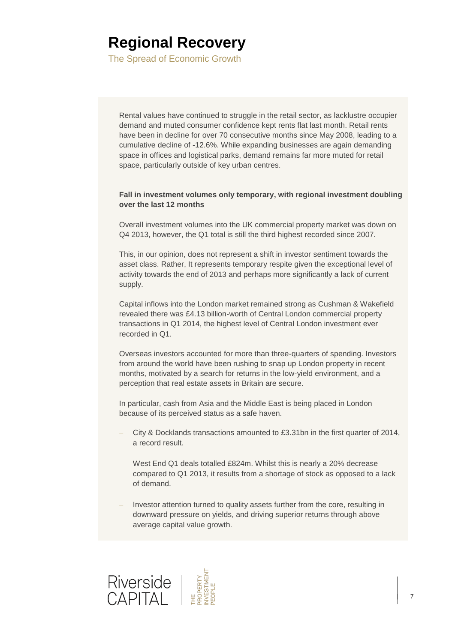The Spread of Economic Growth

Rental values have continued to struggle in the retail sector, as lacklustre occupier demand and muted consumer confidence kept rents flat last month. Retail rents have been in decline for over 70 consecutive months since May 2008, leading to a cumulative decline of -12.6%. While expanding businesses are again demanding space in offices and logistical parks, demand remains far more muted for retail space, particularly outside of key urban centres.

#### **Fall in investment volumes only temporary, with regional investment doubling over the last 12 months**

Overall investment volumes into the UK commercial property market was down on Q4 2013, however, the Q1 total is still the third highest recorded since 2007.

This, in our opinion, does not represent a shift in investor sentiment towards the asset class. Rather, It represents temporary respite given the exceptional level of activity towards the end of 2013 and perhaps more significantly a lack of current supply.

Capital inflows into the London market remained strong as Cushman & Wakefield revealed there was £4.13 billion-worth of Central London commercial property transactions in Q1 2014, the highest level of Central London investment ever recorded in Q1.

Overseas investors accounted for more than three-quarters of spending. Investors from around the world have been rushing to snap up London property in recent months, motivated by a search for returns in the low-yield environment, and a perception that real estate assets in Britain are secure.

In particular, cash from Asia and the Middle East is being placed in London because of its perceived status as a safe haven.

- City & Docklands transactions amounted to £3.31bn in the first quarter of 2014, a record result.
- West End Q1 deals totalled £824m. Whilst this is nearly a 20% decrease compared to Q1 2013, it results from a shortage of stock as opposed to a lack of demand.
- Investor attention turned to quality assets further from the core, resulting in downward pressure on yields, and driving superior returns through above average capital value growth.

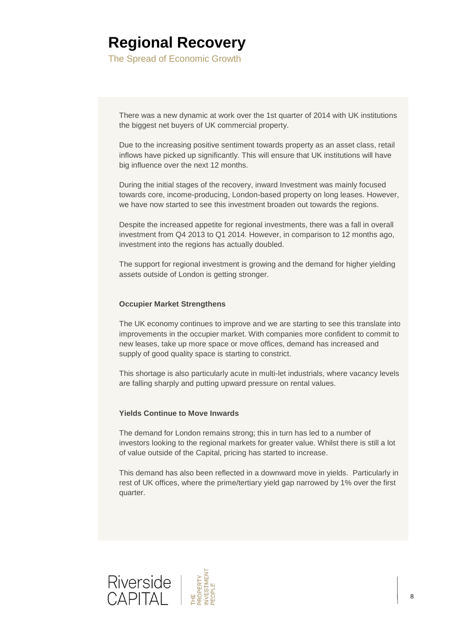The Spread of Economic Growth

There was a new dynamic at work over the 1st quarter of 2014 with UK institutions the biggest net buyers of UK commercial property.

Due to the increasing positive sentiment towards property as an asset class, retail inflows have picked up significantly. This will ensure that UK institutions will have big influence over the next 12 months.

During the initial stages of the recovery, inward Investment was mainly focused towards core, income-producing, London-based property on long leases. However, we have now started to see this investment broaden out towards the regions.

Despite the increased appetite for regional investments, there was a fall in overall investment from Q4 2013 to Q1 2014. However, in comparison to 12 months ago, investment into the regions has actually doubled.

The support for regional investment is growing and the demand for higher yielding assets outside of London is getting stronger.

#### **Occupier Market Strengthens**

The UK economy continues to improve and we are starting to see this translate into improvements in the occupier market. With companies more confident to commit to new leases, take up more space or move offices, demand has increased and supply of good quality space is starting to constrict.

This shortage is also particularly acute in multi-let industrials, where vacancy levels are falling sharply and putting upward pressure on rental values.

#### **Yields Continue to Move Inwards**

The demand for London remains strong; this in turn has led to a number of investors looking to the regional markets for greater value. Whilst there is still a lot of value outside of the Capital, pricing has started to increase.

This demand has also been reflected in a downward move in yields. Particularly in rest of UK offices, where the prime/tertiary yield gap narrowed by 1% over the first quarter.

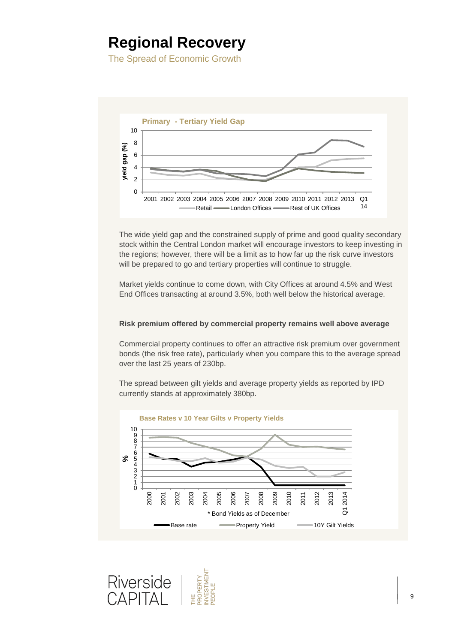The Spread of Economic Growth



The wide yield gap and the constrained supply of prime and good quality secondary stock within the Central London market will encourage investors to keep investing in the regions; however, there will be a limit as to how far up the risk curve investors will be prepared to go and tertiary properties will continue to struggle.

Market yields continue to come down, with City Offices at around 4.5% and West End Offices transacting at around 3.5%, both well below the historical average.

#### **Risk premium offered by commercial property remains well above average**

Commercial property continues to offer an attractive risk premium over government bonds (the risk free rate), particularly when you compare this to the average spread over the last 25 years of 230bp.

The spread between gilt yields and average property yields as reported by IPD currently stands at approximately 380bp.



**NVESTMENT** Riverside PROPERTY PIEOPLE CAPITAI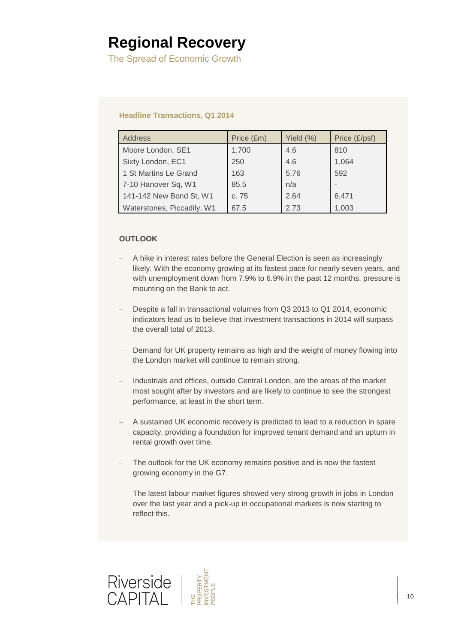The Spread of Economic Growth

#### **Headline Transactions, Q1 2014**

| <b>Address</b>             | Price (£m) | Yield (%) | Price (£/psf) |
|----------------------------|------------|-----------|---------------|
| Moore London, SE1          | 1,700      | 4.6       | 810           |
| Sixty London, EC1          | 250        | 4.6       | 1,064         |
| 1 St Martins Le Grand      | 163        | 5.76      | 592           |
| 7-10 Hanover Sq, W1        | 85.5       | n/a       |               |
| 141-142 New Bond St, W1    | c. 75      | 2.64      | 6,471         |
| Waterstones, Piccadily, W1 | 67.5       | 2.73      | 1,003         |

### **OUTLOOK**

- A hike in interest rates before the General Election is seen as increasingly likely. With the economy growing at its fastest pace for nearly seven years, and with unemployment down from 7.9% to 6.9% in the past 12 months, pressure is mounting on the Bank to act.
- Despite a fall in transactional volumes from Q3 2013 to Q1 2014, economic indicators lead us to believe that investment transactions in 2014 will surpass the overall total of 2013.
- Demand for UK property remains as high and the weight of money flowing into the London market will continue to remain strong.
- Industrials and offices, outside Central London, are the areas of the market most sought after by investors and are likely to continue to see the strongest performance, at least in the short term.
- A sustained UK economic recovery is predicted to lead to a reduction in spare capacity, providing a foundation for improved tenant demand and an upturn in rental growth over time.
- The outlook for the UK economy remains positive and is now the fastest growing economy in the G7.
- The latest labour market figures showed very strong growth in jobs in London over the last year and a pick-up in occupational markets is now starting to reflect this.